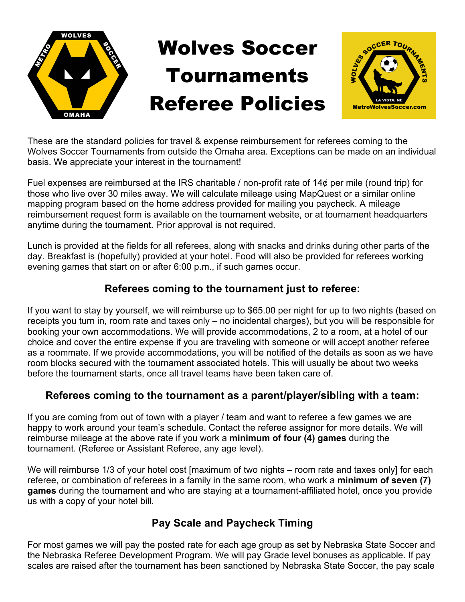

These are the standard policies for travel & expense reimbursement for referees coming to the Wolves Soccer Tournaments from outside the Omaha area. Exceptions can be made on an individual basis. We appreciate your interest in the tournament!

Fuel expenses are reimbursed at the IRS charitable / non-profit rate of 14¢ per mile (round trip) for those who live over 30 miles away. We will calculate mileage using MapQuest or a similar online mapping program based on the home address provided for mailing you paycheck. A mileage reimbursement request form is available on the tournament website, or at tournament headquarters anytime during the tournament. Prior approval is not required.

Lunch is provided at the fields for all referees, along with snacks and drinks during other parts of the day. Breakfast is (hopefully) provided at your hotel. Food will also be provided for referees working evening games that start on or after 6:00 p.m., if such games occur.

## **Referees coming to the tournament just to referee:**

If you want to stay by yourself, we will reimburse up to \$65.00 per night for up to two nights (based on receipts you turn in, room rate and taxes only – no incidental charges), but you will be responsible for booking your own accommodations. We will provide accommodations, 2 to a room, at a hotel of our choice and cover the entire expense if you are traveling with someone or will accept another referee as a roommate. If we provide accommodations, you will be notified of the details as soon as we have room blocks secured with the tournament associated hotels. This will usually be about two weeks before the tournament starts, once all travel teams have been taken care of.

## **Referees coming to the tournament as a parent/player/sibling with a team:**

If you are coming from out of town with a player / team and want to referee a few games we are happy to work around your team's schedule. Contact the referee assignor for more details. We will reimburse mileage at the above rate if you work a **minimum of four (4) games** during the tournament. (Referee or Assistant Referee, any age level).

We will reimburse 1/3 of your hotel cost [maximum of two nights – room rate and taxes only] for each referee, or combination of referees in a family in the same room, who work a **minimum of seven (7) games** during the tournament and who are staying at a tournament-affiliated hotel, once you provide us with a copy of your hotel bill.

## **Pay Scale and Paycheck Timing**

For most games we will pay the posted rate for each age group as set by Nebraska State Soccer and the Nebraska Referee Development Program. We will pay Grade level bonuses as applicable. If pay scales are raised after the tournament has been sanctioned by Nebraska State Soccer, the pay scale